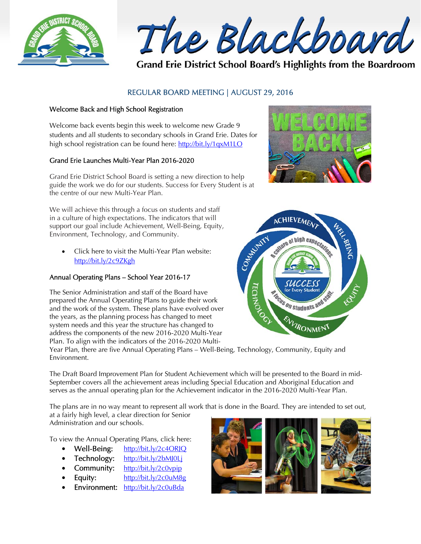

The Blackboard

Grand Erie District School Board's Highlights from the Boardroom

# REGULAR BOARD MEETING | AUGUST 29, 2016

## Welcome Back and High School Registration

Welcome back events begin this week to welcome new Grade 9 students and all students to secondary schools in Grand Erie. Dates for high school registration can be found here: http://bit.ly/1qxM1LO

### Grand Erie Launches Multi-Year Plan 2016-2020

Grand Erie District School Board is setting a new direction to help guide the work we do for our students. Success for Every Student is at the centre of our new Multi-Year Plan.

We will achieve this through a focus on students and staff in a culture of high expectations. The indicators that will support our goal include Achievement, Well-Being, Equity, Environment, Technology, and Community.

 Click here to visit the Multi-Year Plan website: http://bit.ly/2c9ZKgh

# Annual Operating Plans – School Year 2016-17

The Senior Administration and staff of the Board have prepared the Annual Operating Plans to guide their work and the work of the system. These plans have evolved over the years, as the planning process has changed to meet system needs and this year the structure has changed to address the components of the new 2016-2020 Multi-Year Plan. To align with the indicators of the 2016-2020 Multi-





Year Plan, there are five Annual Operating Plans – Well-Being, Technology, Community, Equity and Environment.

The Draft Board Improvement Plan for Student Achievement which will be presented to the Board in mid-September covers all the achievement areas including Special Education and Aboriginal Education and serves as the annual operating plan for the Achievement indicator in the 2016-2020 Multi-Year Plan.

The plans are in no way meant to represent all work that is done in the Board. They are intended to set out, at a fairly high level, a clear direction for Senior

Administration and our schools.

To view the Annual Operating Plans, click here:

- $\bullet$  Well-Being: http://bit.ly/2c4ORJQ
- Technology: http://bit.ly/2bMJ0Lj
- Community: http://bit.ly/2c0vpip
- Equity: http://bit.ly/2c0uM8g
- Environment: http://bit.ly/2c0uBda

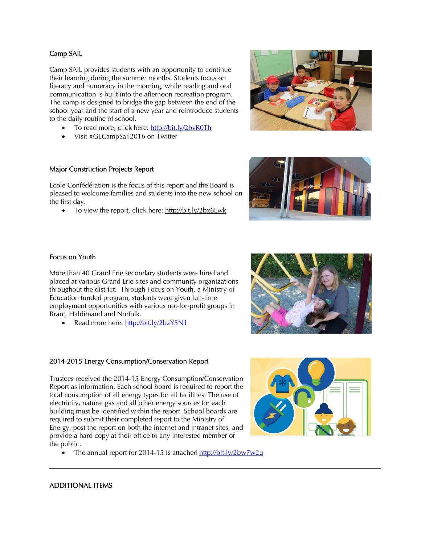# ADDITIONAL ITEMS

I

#### Camp SAIL

Camp SAIL provides students with an opportunity to continue their learning during the summer months. Students focus on literacy and numeracy in the morning, while reading and oral communication is built into the afternoon recreation program. The camp is designed to bridge the gap between the end of the school year and the start of a new year and reintroduce students to the daily routine of school.

- To read more, click here: http://bit.ly/2bvR0Th
- Visit #GECampSail2016 on Twitter

#### Major Construction Projects Report

École Confédération is the focus of this report and the Board is pleased to welcome families and students into the new school on the first day.

• To view the report, click here: http://bit.ly/2bx6Ewk



More than 40 Grand Erie secondary students were hired and placed at various Grand Erie sites and community organizations throughout the district. Through Focus on Youth, a Ministry of Education funded program, students were given full-time employment opportunities with various not-for-profit groups in Brant, Haldimand and Norfolk.

• Read more here: http://bit.ly/2bzY5N1

## 2014-2015 Energy Consumption/Conservation Report

Trustees received the 2014-15 Energy Consumption/Conservation Report as information. Each school board is required to report the total consumption of all energy types for all facilities. The use of electricity, natural gas and all other energy sources for each building must be identified within the report. School boards are required to submit their completed report to the Ministry of Energy, post the report on both the internet and intranet sites, and provide a hard copy at their office to any interested member of the public.

• The annual report for 2014-15 is attached http://bit.ly/2bw7w2u